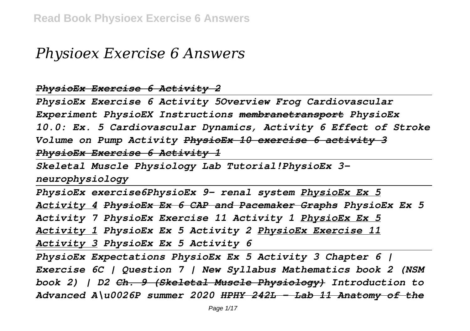## *Physioex Exercise 6 Answers*

*PhysioEx Exercise 6 Activity 2*

*PhysioEx Exercise 6 Activity 5Overview Frog Cardiovascular Experiment PhysioEX Instructions membranetransport PhysioEx 10.0: Ex. 5 Cardiovascular Dynamics, Activity 6 Effect of Stroke Volume on Pump Activity PhysioEx 10 exercise 6 activity 3 PhysioEx Exercise 6 Activity 1*

*Skeletal Muscle Physiology Lab Tutorial!PhysioEx 3 neurophysiology*

*PhysioEx exercise6PhysioEx 9- renal system PhysioEx Ex 5 Activity 4 PhysioEx Ex 6 CAP and Pacemaker Graphs PhysioEx Ex 5 Activity 7 PhysioEx Exercise 11 Activity 1 PhysioEx Ex 5 Activity 1 PhysioEx Ex 5 Activity 2 PhysioEx Exercise 11 Activity 3 PhysioEx Ex 5 Activity 6*

*PhysioEx Expectations PhysioEx Ex 5 Activity 3 Chapter 6 | Exercise 6C | Question 7 | New Syllabus Mathematics book 2 (NSM book 2) | D2 Ch. 9 (Skeletal Muscle Physiology) Introduction to Advanced A\u0026P summer 2020 HPHY 242L - Lab 11 Anatomy of the*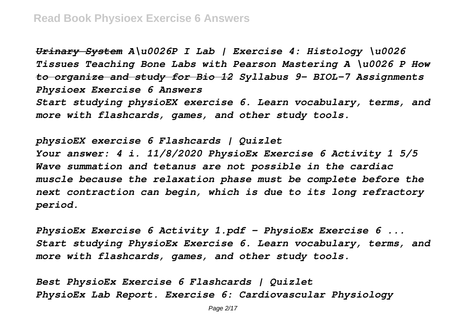*Urinary System A\u0026P I Lab | Exercise 4: Histology \u0026 Tissues Teaching Bone Labs with Pearson Mastering A \u0026 P How to organize and study for Bio 12 Syllabus 9- BIOL-7 Assignments Physioex Exercise 6 Answers Start studying physioEX exercise 6. Learn vocabulary, terms, and more with flashcards, games, and other study tools.*

*physioEX exercise 6 Flashcards | Quizlet Your answer: 4 i. 11/8/2020 PhysioEx Exercise 6 Activity 1 5/5 Wave summation and tetanus are not possible in the cardiac muscle because the relaxation phase must be complete before the next contraction can begin, which is due to its long refractory period.*

*PhysioEx Exercise 6 Activity 1.pdf - PhysioEx Exercise 6 ... Start studying PhysioEx Exercise 6. Learn vocabulary, terms, and more with flashcards, games, and other study tools.*

*Best PhysioEx Exercise 6 Flashcards | Quizlet PhysioEx Lab Report. Exercise 6: Cardiovascular Physiology*

Page  $2/17$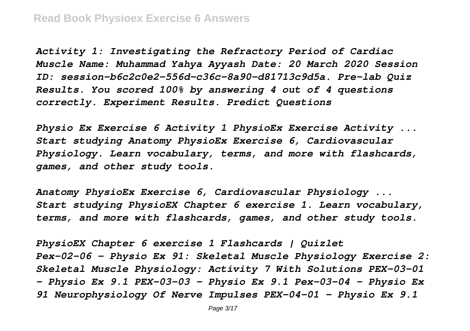*Activity 1: Investigating the Refractory Period of Cardiac Muscle Name: Muhammad Yahya Ayyash Date: 20 March 2020 Session ID: session-b6c2c0e2-556d-c36c-8a90-d81713c9d5a. Pre-lab Quiz Results. You scored 100% by answering 4 out of 4 questions correctly. Experiment Results. Predict Questions*

*Physio Ex Exercise 6 Activity 1 PhysioEx Exercise Activity ... Start studying Anatomy PhysioEx Exercise 6, Cardiovascular Physiology. Learn vocabulary, terms, and more with flashcards, games, and other study tools.*

*Anatomy PhysioEx Exercise 6, Cardiovascular Physiology ... Start studying PhysioEX Chapter 6 exercise 1. Learn vocabulary, terms, and more with flashcards, games, and other study tools.*

*PhysioEX Chapter 6 exercise 1 Flashcards | Quizlet Pex-02-06 - Physio Ex 91: Skeletal Muscle Physiology Exercise 2: Skeletal Muscle Physiology: Activity 7 With Solutions PEX-03-01 - Physio Ex 9.1 PEX-03-03 - Physio Ex 9.1 Pex-03-04 - Physio Ex 91 Neurophysiology Of Nerve Impulses PEX-04-01 - Physio Ex 9.1*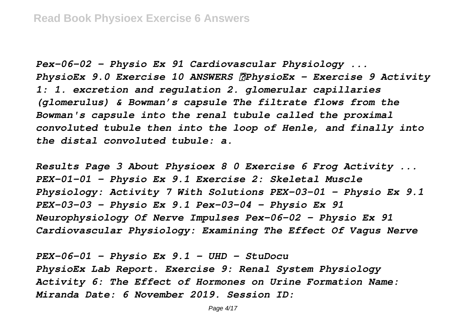*Pex-06-02 - Physio Ex 91 Cardiovascular Physiology ... PhysioEx 9.0 Exercise 10 ANSWERS PhysioEx – Exercise 9 Activity 1: 1. excretion and regulation 2. glomerular capillaries (glomerulus) & Bowman's capsule The filtrate flows from the Bowman's capsule into the renal tubule called the proximal convoluted tubule then into the loop of Henle, and finally into the distal convoluted tubule: a.*

*Results Page 3 About Physioex 8 0 Exercise 6 Frog Activity ... PEX-01-01 - Physio Ex 9.1 Exercise 2: Skeletal Muscle Physiology: Activity 7 With Solutions PEX-03-01 - Physio Ex 9.1 PEX-03-03 - Physio Ex 9.1 Pex-03-04 - Physio Ex 91 Neurophysiology Of Nerve Impulses Pex-06-02 - Physio Ex 91 Cardiovascular Physiology: Examining The Effect Of Vagus Nerve*

*PEX-06-01 - Physio Ex 9.1 - UHD - StuDocu PhysioEx Lab Report. Exercise 9: Renal System Physiology Activity 6: The Effect of Hormones on Urine Formation Name: Miranda Date: 6 November 2019. Session ID:*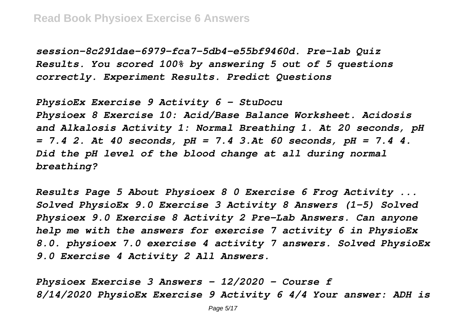*session-8c291dae-6979-fca7-5db4-e55bf9460d. Pre-lab Quiz Results. You scored 100% by answering 5 out of 5 questions correctly. Experiment Results. Predict Questions*

*PhysioEx Exercise 9 Activity 6 - StuDocu Physioex 8 Exercise 10: Acid/Base Balance Worksheet. Acidosis and Alkalosis Activity 1: Normal Breathing 1. At 20 seconds, pH = 7.4 2. At 40 seconds, pH = 7.4 3.At 60 seconds, pH = 7.4 4. Did the pH level of the blood change at all during normal breathing?*

*Results Page 5 About Physioex 8 0 Exercise 6 Frog Activity ... Solved PhysioEx 9.0 Exercise 3 Activity 8 Answers (1-5) Solved Physioex 9.0 Exercise 8 Activity 2 Pre-Lab Answers. Can anyone help me with the answers for exercise 7 activity 6 in PhysioEx 8.0. physioex 7.0 exercise 4 activity 7 answers. Solved PhysioEx 9.0 Exercise 4 Activity 2 All Answers.*

*Physioex Exercise 3 Answers - 12/2020 - Course f 8/14/2020 PhysioEx Exercise 9 Activity 6 4/4 Your answer: ADH is*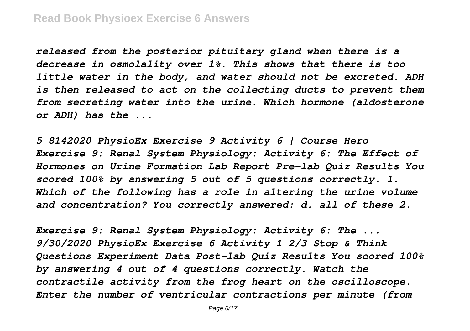*released from the posterior pituitary gland when there is a decrease in osmolality over 1%. This shows that there is too little water in the body, and water should not be excreted. ADH is then released to act on the collecting ducts to prevent them from secreting water into the urine. Which hormone (aldosterone or ADH) has the ...*

*5 8142020 PhysioEx Exercise 9 Activity 6 | Course Hero Exercise 9: Renal System Physiology: Activity 6: The Effect of Hormones on Urine Formation Lab Report Pre-lab Quiz Results You scored 100% by answering 5 out of 5 questions correctly. 1. Which of the following has a role in altering the urine volume and concentration? You correctly answered: d. all of these 2.*

*Exercise 9: Renal System Physiology: Activity 6: The ... 9/30/2020 PhysioEx Exercise 6 Activity 1 2/3 Stop & Think Questions Experiment Data Post-lab Quiz Results You scored 100% by answering 4 out of 4 questions correctly. Watch the contractile activity from the frog heart on the oscilloscope. Enter the number of ventricular contractions per minute (from*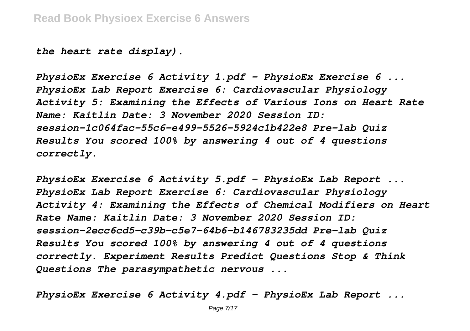*the heart rate display).*

*PhysioEx Exercise 6 Activity 1.pdf - PhysioEx Exercise 6 ... PhysioEx Lab Report Exercise 6: Cardiovascular Physiology Activity 5: Examining the Effects of Various Ions on Heart Rate Name: Kaitlin Date: 3 November 2020 Session ID: session-1c064fac-55c6-e499-5526-5924c1b422e8 Pre-lab Quiz Results You scored 100% by answering 4 out of 4 questions correctly.*

*PhysioEx Exercise 6 Activity 5.pdf - PhysioEx Lab Report ... PhysioEx Lab Report Exercise 6: Cardiovascular Physiology Activity 4: Examining the Effects of Chemical Modifiers on Heart Rate Name: Kaitlin Date: 3 November 2020 Session ID: session-2ecc6cd5-c39b-c5e7-64b6-b146783235dd Pre-lab Quiz Results You scored 100% by answering 4 out of 4 questions correctly. Experiment Results Predict Questions Stop & Think Questions The parasympathetic nervous ...*

*PhysioEx Exercise 6 Activity 4.pdf - PhysioEx Lab Report ...*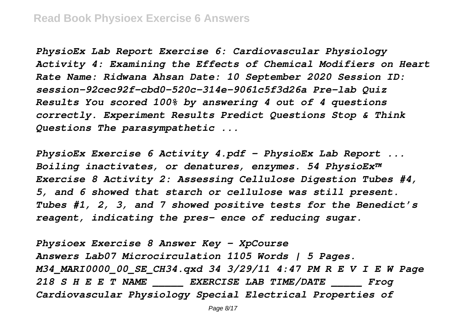*PhysioEx Lab Report Exercise 6: Cardiovascular Physiology Activity 4: Examining the Effects of Chemical Modifiers on Heart Rate Name: Ridwana Ahsan Date: 10 September 2020 Session ID: session-92cec92f-cbd0-520c-314e-9061c5f3d26a Pre-lab Quiz Results You scored 100% by answering 4 out of 4 questions correctly. Experiment Results Predict Questions Stop & Think Questions The parasympathetic ...*

*PhysioEx Exercise 6 Activity 4.pdf - PhysioEx Lab Report ... Boiling inactivates, or denatures, enzymes. 54 PhysioEx™ Exercise 8 Activity 2: Assessing Cellulose Digestion Tubes #4, 5, and 6 showed that starch or cellulose was still present. Tubes #1, 2, 3, and 7 showed positive tests for the Benedict's reagent, indicating the pres- ence of reducing sugar.*

*Physioex Exercise 8 Answer Key - XpCourse Answers Lab07 Microcirculation 1105 Words | 5 Pages. M34\_MARI0000\_00\_SE\_CH34.qxd 34 3/29/11 4:47 PM R E V I E W Page 218 S H E E T NAME \_\_\_\_\_ EXERCISE LAB TIME/DATE \_\_\_\_\_ Frog Cardiovascular Physiology Special Electrical Properties of*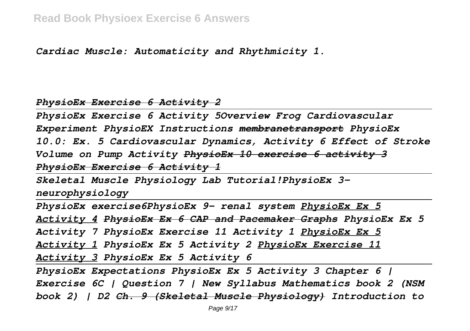*Cardiac Muscle: Automaticity and Rhythmicity 1.*

## *PhysioEx Exercise 6 Activity 2*

*PhysioEx Exercise 6 Activity 5Overview Frog Cardiovascular Experiment PhysioEX Instructions membranetransport PhysioEx 10.0: Ex. 5 Cardiovascular Dynamics, Activity 6 Effect of Stroke Volume on Pump Activity PhysioEx 10 exercise 6 activity 3 PhysioEx Exercise 6 Activity 1*

*Skeletal Muscle Physiology Lab Tutorial!PhysioEx 3-*

*neurophysiology*

*PhysioEx exercise6PhysioEx 9- renal system PhysioEx Ex 5*

*Activity 4 PhysioEx Ex 6 CAP and Pacemaker Graphs PhysioEx Ex 5*

*Activity 7 PhysioEx Exercise 11 Activity 1 PhysioEx Ex 5*

*Activity 1 PhysioEx Ex 5 Activity 2 PhysioEx Exercise 11*

*Activity 3 PhysioEx Ex 5 Activity 6*

*PhysioEx Expectations PhysioEx Ex 5 Activity 3 Chapter 6 | Exercise 6C | Question 7 | New Syllabus Mathematics book 2 (NSM book 2) | D2 Ch. 9 (Skeletal Muscle Physiology) Introduction to*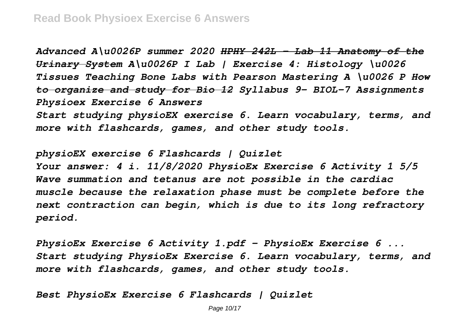*Advanced A\u0026P summer 2020 HPHY 242L - Lab 11 Anatomy of the Urinary System A\u0026P I Lab | Exercise 4: Histology \u0026 Tissues Teaching Bone Labs with Pearson Mastering A \u0026 P How to organize and study for Bio 12 Syllabus 9- BIOL-7 Assignments Physioex Exercise 6 Answers*

*Start studying physioEX exercise 6. Learn vocabulary, terms, and more with flashcards, games, and other study tools.*

*physioEX exercise 6 Flashcards | Quizlet Your answer: 4 i. 11/8/2020 PhysioEx Exercise 6 Activity 1 5/5 Wave summation and tetanus are not possible in the cardiac muscle because the relaxation phase must be complete before the next contraction can begin, which is due to its long refractory period.*

*PhysioEx Exercise 6 Activity 1.pdf - PhysioEx Exercise 6 ... Start studying PhysioEx Exercise 6. Learn vocabulary, terms, and more with flashcards, games, and other study tools.*

*Best PhysioEx Exercise 6 Flashcards | Quizlet*

Page 10/17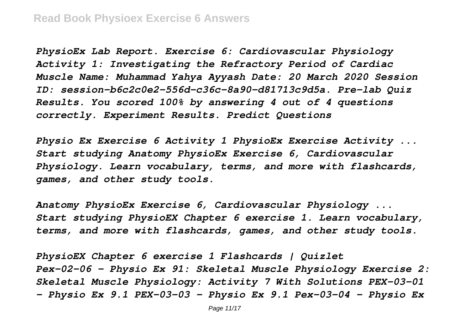*PhysioEx Lab Report. Exercise 6: Cardiovascular Physiology Activity 1: Investigating the Refractory Period of Cardiac Muscle Name: Muhammad Yahya Ayyash Date: 20 March 2020 Session ID: session-b6c2c0e2-556d-c36c-8a90-d81713c9d5a. Pre-lab Quiz Results. You scored 100% by answering 4 out of 4 questions correctly. Experiment Results. Predict Questions*

*Physio Ex Exercise 6 Activity 1 PhysioEx Exercise Activity ... Start studying Anatomy PhysioEx Exercise 6, Cardiovascular Physiology. Learn vocabulary, terms, and more with flashcards, games, and other study tools.*

*Anatomy PhysioEx Exercise 6, Cardiovascular Physiology ... Start studying PhysioEX Chapter 6 exercise 1. Learn vocabulary, terms, and more with flashcards, games, and other study tools.*

*PhysioEX Chapter 6 exercise 1 Flashcards | Quizlet Pex-02-06 - Physio Ex 91: Skeletal Muscle Physiology Exercise 2: Skeletal Muscle Physiology: Activity 7 With Solutions PEX-03-01 - Physio Ex 9.1 PEX-03-03 - Physio Ex 9.1 Pex-03-04 - Physio Ex*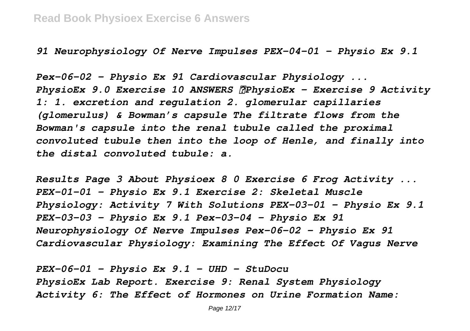*91 Neurophysiology Of Nerve Impulses PEX-04-01 - Physio Ex 9.1*

*Pex-06-02 - Physio Ex 91 Cardiovascular Physiology ... PhysioEx 9.0 Exercise 10 ANSWERS PhysioEx – Exercise 9 Activity 1: 1. excretion and regulation 2. glomerular capillaries (glomerulus) & Bowman's capsule The filtrate flows from the Bowman's capsule into the renal tubule called the proximal convoluted tubule then into the loop of Henle, and finally into the distal convoluted tubule: a.*

*Results Page 3 About Physioex 8 0 Exercise 6 Frog Activity ... PEX-01-01 - Physio Ex 9.1 Exercise 2: Skeletal Muscle Physiology: Activity 7 With Solutions PEX-03-01 - Physio Ex 9.1 PEX-03-03 - Physio Ex 9.1 Pex-03-04 - Physio Ex 91 Neurophysiology Of Nerve Impulses Pex-06-02 - Physio Ex 91 Cardiovascular Physiology: Examining The Effect Of Vagus Nerve*

*PEX-06-01 - Physio Ex 9.1 - UHD - StuDocu PhysioEx Lab Report. Exercise 9: Renal System Physiology Activity 6: The Effect of Hormones on Urine Formation Name:*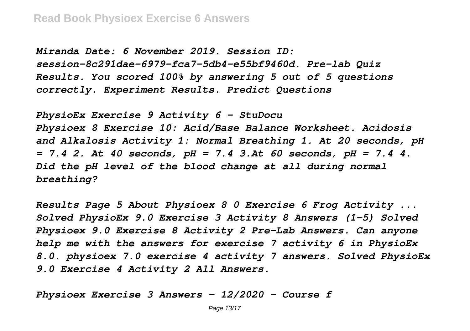*Miranda Date: 6 November 2019. Session ID: session-8c291dae-6979-fca7-5db4-e55bf9460d. Pre-lab Quiz Results. You scored 100% by answering 5 out of 5 questions correctly. Experiment Results. Predict Questions*

*PhysioEx Exercise 9 Activity 6 - StuDocu Physioex 8 Exercise 10: Acid/Base Balance Worksheet. Acidosis and Alkalosis Activity 1: Normal Breathing 1. At 20 seconds, pH = 7.4 2. At 40 seconds, pH = 7.4 3.At 60 seconds, pH = 7.4 4. Did the pH level of the blood change at all during normal breathing?*

*Results Page 5 About Physioex 8 0 Exercise 6 Frog Activity ... Solved PhysioEx 9.0 Exercise 3 Activity 8 Answers (1-5) Solved Physioex 9.0 Exercise 8 Activity 2 Pre-Lab Answers. Can anyone help me with the answers for exercise 7 activity 6 in PhysioEx 8.0. physioex 7.0 exercise 4 activity 7 answers. Solved PhysioEx 9.0 Exercise 4 Activity 2 All Answers.*

*Physioex Exercise 3 Answers - 12/2020 - Course f*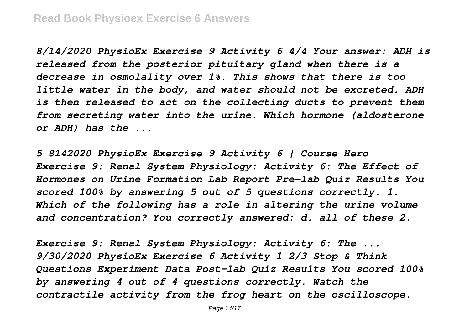*8/14/2020 PhysioEx Exercise 9 Activity 6 4/4 Your answer: ADH is released from the posterior pituitary gland when there is a decrease in osmolality over 1%. This shows that there is too little water in the body, and water should not be excreted. ADH is then released to act on the collecting ducts to prevent them from secreting water into the urine. Which hormone (aldosterone or ADH) has the ...*

*5 8142020 PhysioEx Exercise 9 Activity 6 | Course Hero Exercise 9: Renal System Physiology: Activity 6: The Effect of Hormones on Urine Formation Lab Report Pre-lab Quiz Results You scored 100% by answering 5 out of 5 questions correctly. 1. Which of the following has a role in altering the urine volume and concentration? You correctly answered: d. all of these 2.*

*Exercise 9: Renal System Physiology: Activity 6: The ... 9/30/2020 PhysioEx Exercise 6 Activity 1 2/3 Stop & Think Questions Experiment Data Post-lab Quiz Results You scored 100% by answering 4 out of 4 questions correctly. Watch the contractile activity from the frog heart on the oscilloscope.*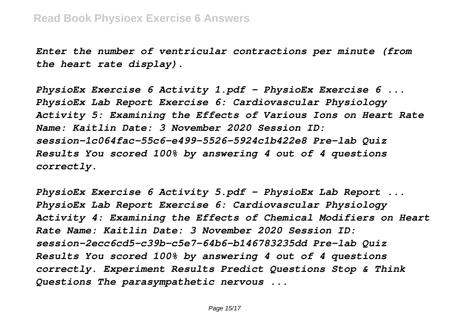*Enter the number of ventricular contractions per minute (from the heart rate display).*

*PhysioEx Exercise 6 Activity 1.pdf - PhysioEx Exercise 6 ... PhysioEx Lab Report Exercise 6: Cardiovascular Physiology Activity 5: Examining the Effects of Various Ions on Heart Rate Name: Kaitlin Date: 3 November 2020 Session ID: session-1c064fac-55c6-e499-5526-5924c1b422e8 Pre-lab Quiz Results You scored 100% by answering 4 out of 4 questions correctly.*

*PhysioEx Exercise 6 Activity 5.pdf - PhysioEx Lab Report ... PhysioEx Lab Report Exercise 6: Cardiovascular Physiology Activity 4: Examining the Effects of Chemical Modifiers on Heart Rate Name: Kaitlin Date: 3 November 2020 Session ID: session-2ecc6cd5-c39b-c5e7-64b6-b146783235dd Pre-lab Quiz Results You scored 100% by answering 4 out of 4 questions correctly. Experiment Results Predict Questions Stop & Think Questions The parasympathetic nervous ...*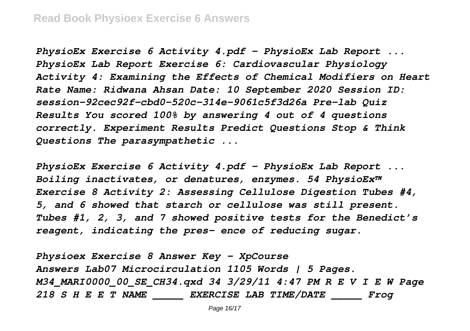*PhysioEx Exercise 6 Activity 4.pdf - PhysioEx Lab Report ... PhysioEx Lab Report Exercise 6: Cardiovascular Physiology Activity 4: Examining the Effects of Chemical Modifiers on Heart Rate Name: Ridwana Ahsan Date: 10 September 2020 Session ID: session-92cec92f-cbd0-520c-314e-9061c5f3d26a Pre-lab Quiz Results You scored 100% by answering 4 out of 4 questions correctly. Experiment Results Predict Questions Stop & Think Questions The parasympathetic ...*

*PhysioEx Exercise 6 Activity 4.pdf - PhysioEx Lab Report ... Boiling inactivates, or denatures, enzymes. 54 PhysioEx™ Exercise 8 Activity 2: Assessing Cellulose Digestion Tubes #4, 5, and 6 showed that starch or cellulose was still present. Tubes #1, 2, 3, and 7 showed positive tests for the Benedict's reagent, indicating the pres- ence of reducing sugar.*

*Physioex Exercise 8 Answer Key - XpCourse Answers Lab07 Microcirculation 1105 Words | 5 Pages. M34\_MARI0000\_00\_SE\_CH34.qxd 34 3/29/11 4:47 PM R E V I E W Page 218 S H E E T NAME \_\_\_\_\_ EXERCISE LAB TIME/DATE \_\_\_\_\_ Frog*